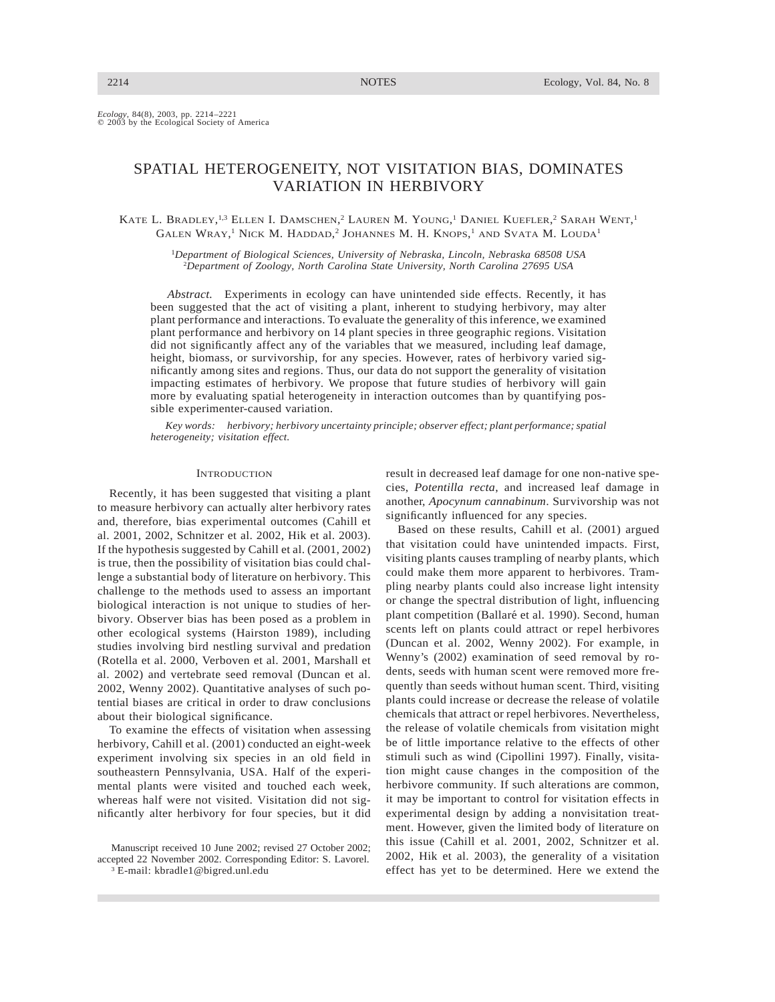*Ecology,* 84(8), 2003, pp. 2214–2221<br>© 2003 by the Ecological Society of America

# SPATIAL HETEROGENEITY, NOT VISITATION BIAS, DOMINATES VARIATION IN HERBIVORY

KATE L. BRADLEY,<sup>1,3</sup> ELLEN I. DAMSCHEN,<sup>2</sup> LAUREN M. YOUNG,<sup>1</sup> DANIEL KUEFLER,<sup>2</sup> SARAH WENT,<sup>1</sup> GALEN WRAY, <sup>1</sup> NICK M. HADDAD, <sup>2</sup> JOHANNES M. H. KNOPS, <sup>1</sup> AND SVATA M. LOUDA1

<sup>1</sup>*Department of Biological Sciences, University of Nebraska, Lincoln, Nebraska 68508 USA* 2 *Department of Zoology, North Carolina State University, North Carolina 27695 USA*

*Abstract.* Experiments in ecology can have unintended side effects. Recently, it has been suggested that the act of visiting a plant, inherent to studying herbivory, may alter plant performance and interactions. To evaluate the generality of this inference, we examined plant performance and herbivory on 14 plant species in three geographic regions. Visitation did not significantly affect any of the variables that we measured, including leaf damage, height, biomass, or survivorship, for any species. However, rates of herbivory varied significantly among sites and regions. Thus, our data do not support the generality of visitation impacting estimates of herbivory. We propose that future studies of herbivory will gain more by evaluating spatial heterogeneity in interaction outcomes than by quantifying possible experimenter-caused variation.

*Key words: herbivory; herbivory uncertainty principle; observer effect; plant performance; spatial heterogeneity; visitation effect.*

### **INTRODUCTION**

Recently, it has been suggested that visiting a plant to measure herbivory can actually alter herbivory rates and, therefore, bias experimental outcomes (Cahill et al. 2001, 2002, Schnitzer et al. 2002, Hik et al. 2003). If the hypothesis suggested by Cahill et al. (2001, 2002) is true, then the possibility of visitation bias could challenge a substantial body of literature on herbivory. This challenge to the methods used to assess an important biological interaction is not unique to studies of herbivory. Observer bias has been posed as a problem in other ecological systems (Hairston 1989), including studies involving bird nestling survival and predation (Rotella et al. 2000, Verboven et al. 2001, Marshall et al. 2002) and vertebrate seed removal (Duncan et al. 2002, Wenny 2002). Quantitative analyses of such potential biases are critical in order to draw conclusions about their biological significance.

To examine the effects of visitation when assessing herbivory, Cahill et al. (2001) conducted an eight-week experiment involving six species in an old field in southeastern Pennsylvania, USA. Half of the experimental plants were visited and touched each week, whereas half were not visited. Visitation did not significantly alter herbivory for four species, but it did

result in decreased leaf damage for one non-native species, *Potentilla recta*, and increased leaf damage in another, *Apocynum cannabinum*. Survivorship was not significantly influenced for any species.

Based on these results, Cahill et al. (2001) argued that visitation could have unintended impacts. First, visiting plants causes trampling of nearby plants, which could make them more apparent to herbivores. Trampling nearby plants could also increase light intensity or change the spectral distribution of light, influencing plant competition (Ballaré et al. 1990). Second, human scents left on plants could attract or repel herbivores (Duncan et al. 2002, Wenny 2002). For example, in Wenny's (2002) examination of seed removal by rodents, seeds with human scent were removed more frequently than seeds without human scent. Third, visiting plants could increase or decrease the release of volatile chemicals that attract or repel herbivores. Nevertheless, the release of volatile chemicals from visitation might be of little importance relative to the effects of other stimuli such as wind (Cipollini 1997). Finally, visitation might cause changes in the composition of the herbivore community. If such alterations are common, it may be important to control for visitation effects in experimental design by adding a nonvisitation treatment. However, given the limited body of literature on this issue (Cahill et al. 2001, 2002, Schnitzer et al. 2002, Hik et al. 2003), the generality of a visitation effect has yet to be determined. Here we extend the

Manuscript received 10 June 2002; revised 27 October 2002; accepted 22 November 2002. Corresponding Editor: S. Lavorel. <sup>3</sup> E-mail: kbradle1@bigred.unl.edu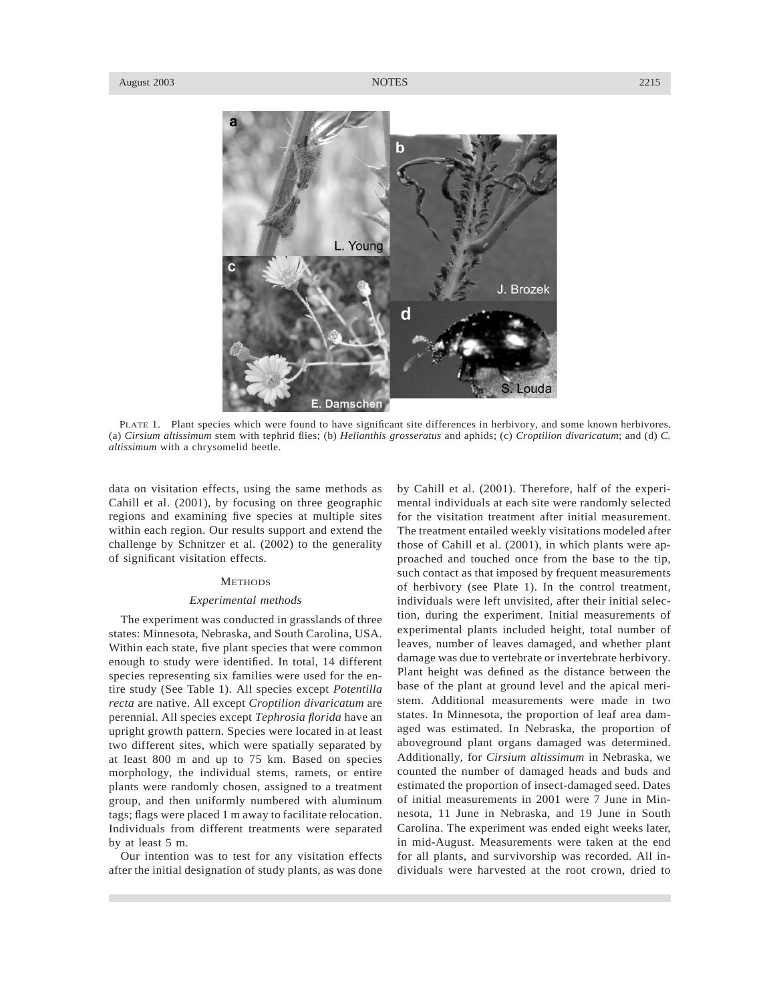

PLATE 1. Plant species which were found to have significant site differences in herbivory, and some known herbivores. (a) *Cirsium altissimum* stem with tephrid flies; (b) *Helianthis grosseratus* and aphids; (c) *Croptilion divaricatum*; and (d) *C. altissimum* with a chrysomelid beetle.

data on visitation effects, using the same methods as Cahill et al. (2001), by focusing on three geographic regions and examining five species at multiple sites within each region. Our results support and extend the challenge by Schnitzer et al. (2002) to the generality of significant visitation effects.

# **METHODS**

#### *Experimental methods*

The experiment was conducted in grasslands of three states: Minnesota, Nebraska, and South Carolina, USA. Within each state, five plant species that were common enough to study were identified. In total, 14 different species representing six families were used for the entire study (See Table 1). All species except *Potentilla recta* are native. All except *Croptilion divaricatum* are perennial. All species except *Tephrosia florida* have an upright growth pattern. Species were located in at least two different sites, which were spatially separated by at least 800 m and up to 75 km. Based on species morphology, the individual stems, ramets, or entire plants were randomly chosen, assigned to a treatment group, and then uniformly numbered with aluminum tags; flags were placed 1 m away to facilitate relocation. Individuals from different treatments were separated by at least 5 m.

Our intention was to test for any visitation effects after the initial designation of study plants, as was done by Cahill et al. (2001). Therefore, half of the experimental individuals at each site were randomly selected for the visitation treatment after initial measurement. The treatment entailed weekly visitations modeled after those of Cahill et al. (2001), in which plants were approached and touched once from the base to the tip, such contact as that imposed by frequent measurements of herbivory (see Plate 1). In the control treatment, individuals were left unvisited, after their initial selection, during the experiment. Initial measurements of experimental plants included height, total number of leaves, number of leaves damaged, and whether plant damage was due to vertebrate or invertebrate herbivory. Plant height was defined as the distance between the base of the plant at ground level and the apical meristem. Additional measurements were made in two states. In Minnesota, the proportion of leaf area damaged was estimated. In Nebraska, the proportion of aboveground plant organs damaged was determined. Additionally, for *Cirsium altissimum* in Nebraska, we counted the number of damaged heads and buds and estimated the proportion of insect-damaged seed. Dates of initial measurements in 2001 were 7 June in Minnesota, 11 June in Nebraska, and 19 June in South Carolina. The experiment was ended eight weeks later, in mid-August. Measurements were taken at the end for all plants, and survivorship was recorded. All individuals were harvested at the root crown, dried to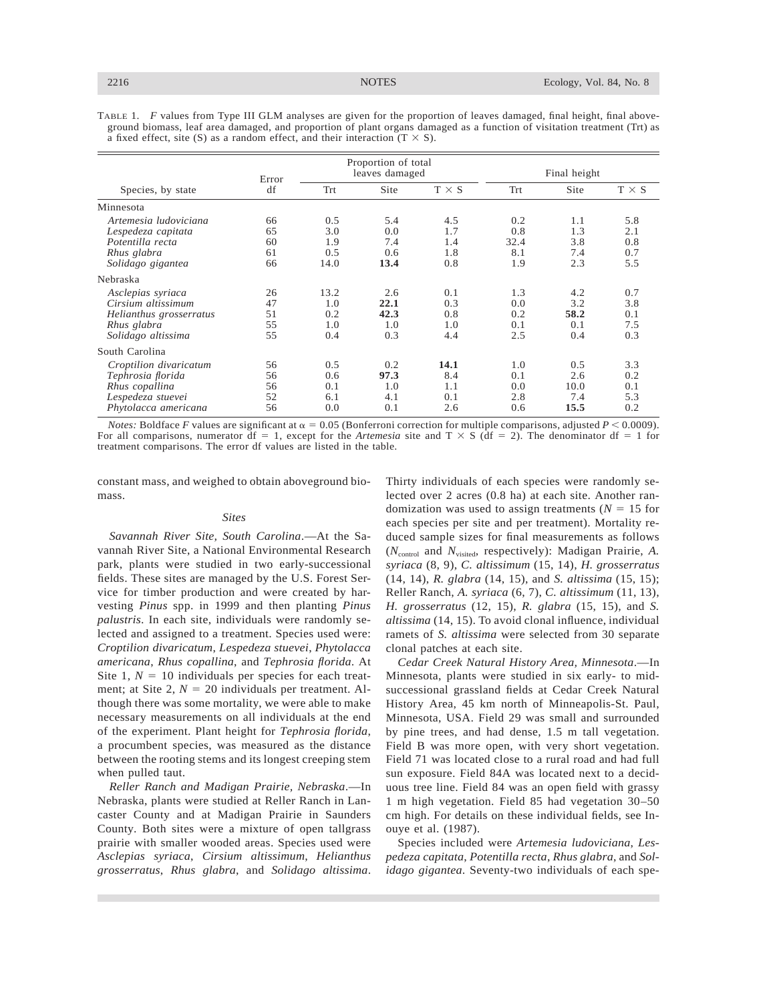TABLE 1. *F* values from Type III GLM analyses are given for the proportion of leaves damaged, final height, final aboveground biomass, leaf area damaged, and proportion of plant organs damaged as a function of visitation treatment (Trt) as a fixed effect, site (S) as a random effect, and their interaction (T  $\times$  S).

| Species, by state                                                                                          | Error<br>df                | Proportion of total<br>leaves damaged |                                   |                                  | Final height                     |                                   |                                 |
|------------------------------------------------------------------------------------------------------------|----------------------------|---------------------------------------|-----------------------------------|----------------------------------|----------------------------------|-----------------------------------|---------------------------------|
|                                                                                                            |                            | Trt                                   | Site                              | $T \times S$                     | Trt                              | Site                              | $T \times S$                    |
| Minnesota                                                                                                  |                            |                                       |                                   |                                  |                                  |                                   |                                 |
| Artemesia <i>ludoviciana</i><br>Lespedeza capitata<br>Potentilla recta<br>Rhus glabra<br>Solidago gigantea | 66<br>65<br>60<br>61<br>66 | 0.5<br>3.0<br>1.9<br>0.5<br>14.0      | 5.4<br>0.0<br>7.4<br>0.6<br>13.4  | 4.5<br>1.7<br>1.4<br>1.8<br>0.8  | 0.2<br>0.8<br>32.4<br>8.1<br>1.9 | 1.1<br>1.3<br>3.8<br>7.4<br>2.3   | 5.8<br>2.1<br>0.8<br>0.7<br>5.5 |
| Nebraska                                                                                                   |                            |                                       |                                   |                                  |                                  |                                   |                                 |
| Asclepias syriaca<br>Cirsium altissimum<br>Helianthus grosserratus<br>Rhus glabra<br>Solidago altissima    | 26<br>47<br>51<br>55<br>55 | 13.2<br>1.0<br>0.2<br>1.0<br>0.4      | 2.6<br>22.1<br>42.3<br>1.0<br>0.3 | 0.1<br>0.3<br>0.8<br>1.0<br>4.4  | 1.3<br>0.0<br>0.2<br>0.1<br>2.5  | 4.2<br>3.2<br>58.2<br>0.1<br>0.4  | 0.7<br>3.8<br>0.1<br>7.5<br>0.3 |
| South Carolina                                                                                             |                            |                                       |                                   |                                  |                                  |                                   |                                 |
| Croptilion divaricatum<br>Tephrosia florida<br>Rhus copallina<br>Lespedeza stuevei<br>Phytolacca americana | 56<br>56<br>56<br>52<br>56 | 0.5<br>0.6<br>0.1<br>6.1<br>0.0       | 0.2<br>97.3<br>1.0<br>4.1<br>0.1  | 14.1<br>8.4<br>1.1<br>0.1<br>2.6 | 1.0<br>0.1<br>0.0<br>2.8<br>0.6  | 0.5<br>2.6<br>10.0<br>7.4<br>15.5 | 3.3<br>0.2<br>0.1<br>5.3<br>0.2 |

*Notes:* Boldface *F* values are significant at  $\alpha = 0.05$  (Bonferroni correction for multiple comparisons, adjusted *P* < 0.0009). For all comparisons, numerator df = 1, except for the *Artemesia* site and  $T \times S$  (df = 2). The denominator df = 1 for treatment comparisons. The error df values are listed in the table.

constant mass, and weighed to obtain aboveground biomass.

# *Sites*

*Savannah River Site, South Carolina*.—At the Savannah River Site, a National Environmental Research park, plants were studied in two early-successional fields. These sites are managed by the U.S. Forest Service for timber production and were created by harvesting *Pinus* spp. in 1999 and then planting *Pinus palustris*. In each site, individuals were randomly selected and assigned to a treatment. Species used were: *Croptilion divaricatum*, *Lespedeza stuevei*, *Phytolacca americana*, *Rhus copallina*, and *Tephrosia florida*. At Site 1,  $N = 10$  individuals per species for each treatment; at Site 2,  $N = 20$  individuals per treatment. Although there was some mortality, we were able to make necessary measurements on all individuals at the end of the experiment. Plant height for *Tephrosia florida*, a procumbent species, was measured as the distance between the rooting stems and its longest creeping stem when pulled taut.

*Reller Ranch and Madigan Prairie, Nebraska*.—In Nebraska, plants were studied at Reller Ranch in Lancaster County and at Madigan Prairie in Saunders County. Both sites were a mixture of open tallgrass prairie with smaller wooded areas. Species used were *Asclepias syriaca*, *Cirsium altissimum*, *Helianthus grosserratus*, *Rhus glabra*, and *Solidago altissima*. Thirty individuals of each species were randomly selected over 2 acres (0.8 ha) at each site. Another randomization was used to assign treatments ( $N = 15$  for each species per site and per treatment). Mortality reduced sample sizes for final measurements as follows ( $N<sub>control</sub>$  and  $N<sub>visited</sub>$ , respectively): Madigan Prairie, A. *syriaca* (8, 9), *C. altissimum* (15, 14), *H. grosserratus* (14, 14), *R. glabra* (14, 15), and *S. altissima* (15, 15); Reller Ranch, *A. syriaca* (6, 7), *C. altissimum* (11, 13), *H. grosserratus* (12, 15), *R. glabra* (15, 15), and *S. altissima* (14, 15). To avoid clonal influence, individual ramets of *S. altissima* were selected from 30 separate clonal patches at each site.

*Cedar Creek Natural History Area, Minnesota*.—In Minnesota, plants were studied in six early- to midsuccessional grassland fields at Cedar Creek Natural History Area, 45 km north of Minneapolis-St. Paul, Minnesota, USA. Field 29 was small and surrounded by pine trees, and had dense, 1.5 m tall vegetation. Field B was more open, with very short vegetation. Field 71 was located close to a rural road and had full sun exposure. Field 84A was located next to a deciduous tree line. Field 84 was an open field with grassy 1 m high vegetation. Field 85 had vegetation 30–50 cm high. For details on these individual fields, see Inouye et al. (1987).

Species included were *Artemesia ludoviciana*, *Lespedeza capitata*, *Potentilla recta*, *Rhus glabra*, and *Solidago gigantea*. Seventy-two individuals of each spe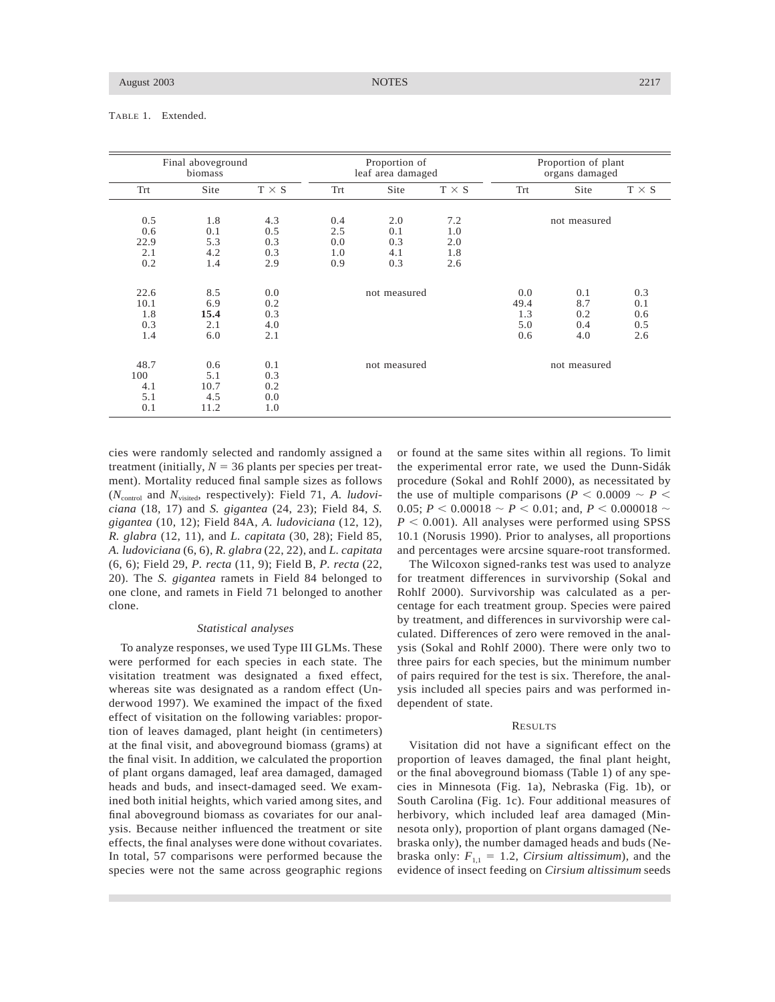TABLE 1. Extended.

| Final aboveground                |                                   | Proportion of                   |              |              | Proportion of plant |              |              |              |
|----------------------------------|-----------------------------------|---------------------------------|--------------|--------------|---------------------|--------------|--------------|--------------|
| biomass                          |                                   | leaf area damaged               |              |              | organs damaged      |              |              |              |
| Trt                              | Site                              | $T \times S$                    | Trt          | Site         | $T \times S$        | Trt          | Site         | $T \times S$ |
| 0.5                              | 1.8                               | 4.3                             | 0.4          | 2.0          | 7.2                 | not measured |              |              |
| 0.6                              | 0.1                               | 0.5                             | 2.5          | 0.1          | 1.0                 |              |              |              |
| 22.9                             | 5.3                               | 0.3                             | 0.0          | 0.3          | 2.0                 |              |              |              |
| 2.1                              | 4.2                               | 0.3                             | 1.0          | 4.1          | 1.8                 |              |              |              |
| 0.2                              | 1.4                               | 2.9                             | 0.9          | 0.3          | 2.6                 |              |              |              |
| 22.6                             | 8.5                               | 0.0                             | not measured |              |                     | 0.0          | 0.1          | 0.3          |
| 10.1                             | 6.9                               | 0.2                             |              |              |                     | 49.4         | 8.7          | 0.1          |
| 1.8                              | 15.4                              | 0.3                             |              |              |                     | 1.3          | 0.2          | 0.6          |
| 0.3                              | 2.1                               | 4.0                             |              |              |                     | 5.0          | 0.4          | 0.5          |
| 1.4                              | 6.0                               | 2.1                             |              |              |                     | 0.6          | 4.0          | 2.6          |
| 48.7<br>100<br>4.1<br>5.1<br>0.1 | 0.6<br>5.1<br>10.7<br>4.5<br>11.2 | 0.1<br>0.3<br>0.2<br>0.0<br>1.0 |              | not measured |                     |              | not measured |              |

cies were randomly selected and randomly assigned a treatment (initially,  $N = 36$  plants per species per treatment). Mortality reduced final sample sizes as follows ( $N_{\text{control}}$  and  $N_{\text{visited}}$ , respectively): Field 71, *A. ludoviciana* (18, 17) and *S. gigantea* (24, 23); Field 84, *S. gigantea* (10, 12); Field 84A, *A. ludoviciana* (12, 12), *R. glabra* (12, 11), and *L. capitata* (30, 28); Field 85, *A. ludoviciana* (6, 6), *R. glabra* (22, 22), and *L. capitata* (6, 6); Field 29, *P. recta* (11, 9); Field B, *P. recta* (22, 20). The *S. gigantea* ramets in Field 84 belonged to one clone, and ramets in Field 71 belonged to another clone.

#### *Statistical analyses*

To analyze responses, we used Type III GLMs. These were performed for each species in each state. The visitation treatment was designated a fixed effect, whereas site was designated as a random effect (Underwood 1997). We examined the impact of the fixed effect of visitation on the following variables: proportion of leaves damaged, plant height (in centimeters) at the final visit, and aboveground biomass (grams) at the final visit. In addition, we calculated the proportion of plant organs damaged, leaf area damaged, damaged heads and buds, and insect-damaged seed. We examined both initial heights, which varied among sites, and final aboveground biomass as covariates for our analysis. Because neither influenced the treatment or site effects, the final analyses were done without covariates. In total, 57 comparisons were performed because the species were not the same across geographic regions or found at the same sites within all regions. To limit the experimental error rate, we used the Dunn-Sidák procedure (Sokal and Rohlf 2000), as necessitated by the use of multiple comparisons ( $P < 0.0009 \sim P <$ 0.05;  $P < 0.00018 \sim P < 0.01$ ; and,  $P < 0.000018 \sim$  $P < 0.001$ ). All analyses were performed using SPSS 10.1 (Norusis 1990). Prior to analyses, all proportions and percentages were arcsine square-root transformed.

The Wilcoxon signed-ranks test was used to analyze for treatment differences in survivorship (Sokal and Rohlf 2000). Survivorship was calculated as a percentage for each treatment group. Species were paired by treatment, and differences in survivorship were calculated. Differences of zero were removed in the analysis (Sokal and Rohlf 2000). There were only two to three pairs for each species, but the minimum number of pairs required for the test is six. Therefore, the analysis included all species pairs and was performed independent of state.

#### **RESULTS**

Visitation did not have a significant effect on the proportion of leaves damaged, the final plant height, or the final aboveground biomass (Table 1) of any species in Minnesota (Fig. 1a), Nebraska (Fig. 1b), or South Carolina (Fig. 1c). Four additional measures of herbivory, which included leaf area damaged (Minnesota only), proportion of plant organs damaged (Nebraska only), the number damaged heads and buds (Nebraska only:  $F_{1,1} = 1.2$ , *Cirsium altissimum*), and the evidence of insect feeding on *Cirsium altissimum* seeds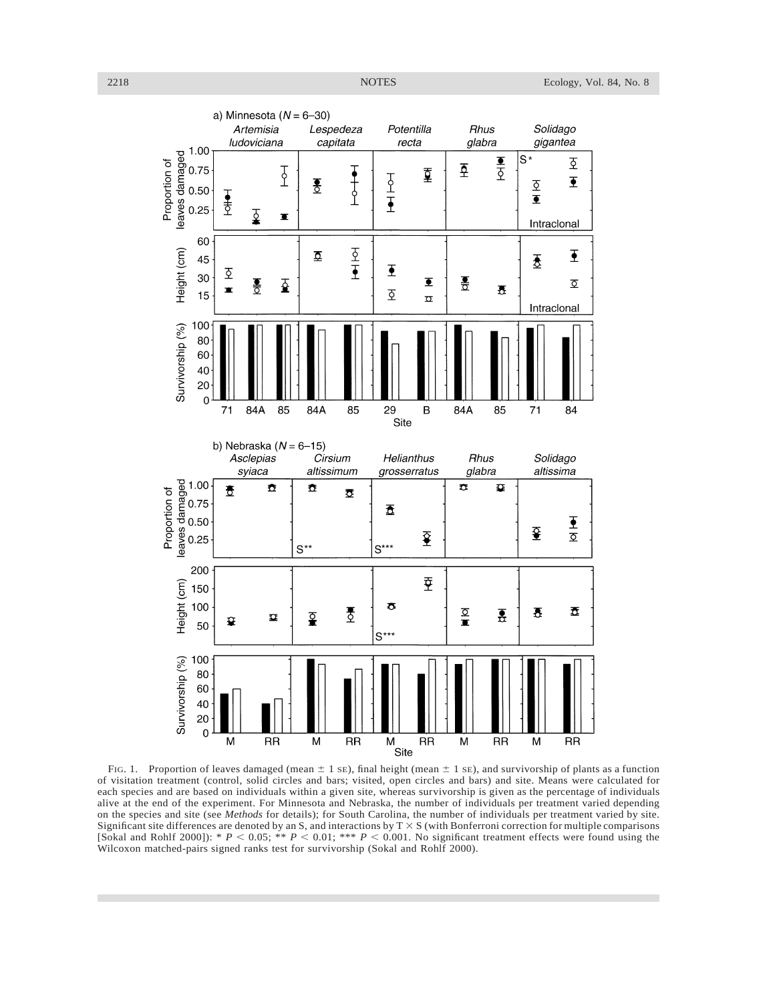

FIG. 1. Proportion of leaves damaged (mean  $\pm$  1 sE), final height (mean  $\pm$  1 sE), and survivorship of plants as a function of visitation treatment (control, solid circles and bars; visited, open circles and bars) and site. Means were calculated for each species and are based on individuals within a given site, whereas survivorship is given as the percentage of individuals alive at the end of the experiment. For Minnesota and Nebraska, the number of individuals per treatment varied depending on the species and site (see *Methods* for details); for South Carolina, the number of individuals per treatment varied by site. Significant site differences are denoted by an S, and interactions by  $T \times S$  (with Bonferroni correction for multiple comparisons [Sokal and Rohlf 2000]): \*  $P < 0.05$ ; \*\*  $P < 0.01$ ; \*\*\*  $P < 0.001$ . No significant treatment effects were found using the Wilcoxon matched-pairs signed ranks test for survivorship (Sokal and Rohlf 2000).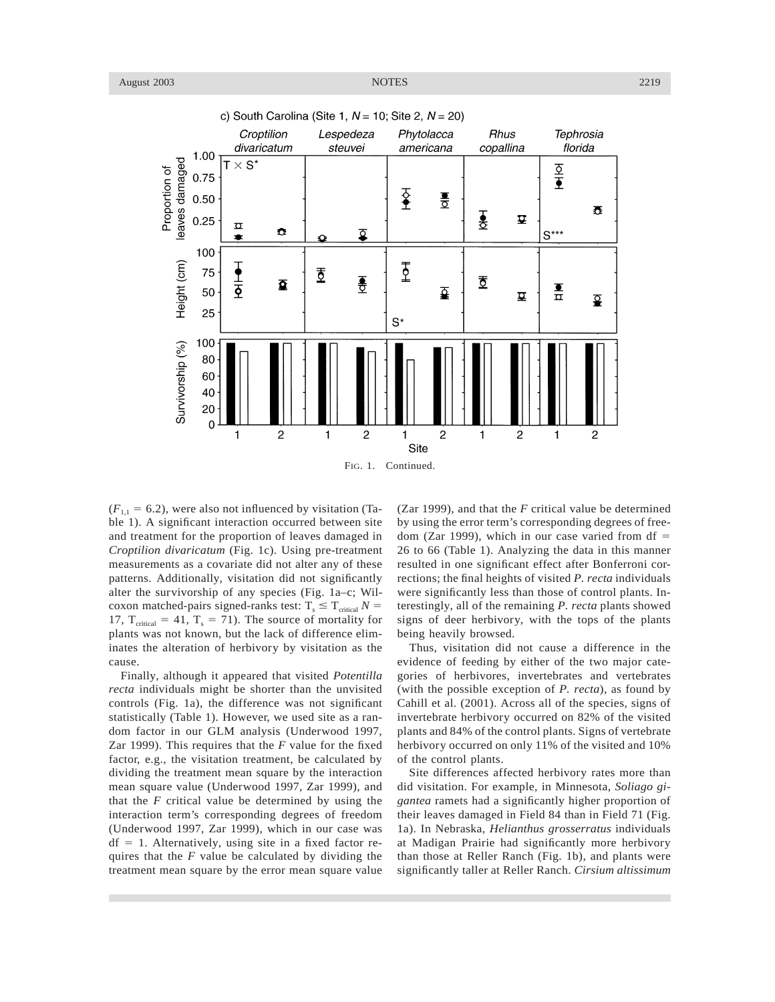

 $(F_{1,1} = 6.2)$ , were also not influenced by visitation (Table 1). A significant interaction occurred between site and treatment for the proportion of leaves damaged in *Croptilion divaricatum* (Fig. 1c). Using pre-treatment measurements as a covariate did not alter any of these patterns. Additionally, visitation did not significantly alter the survivorship of any species (Fig. 1a–c; Wilcoxon matched-pairs signed-ranks test:  $T_s \leq T_{critical} N =$ 17,  $T_{critical} = 41$ ,  $T_s = 71$ ). The source of mortality for plants was not known, but the lack of difference eliminates the alteration of herbivory by visitation as the cause.

Finally, although it appeared that visited *Potentilla recta* individuals might be shorter than the unvisited controls (Fig. 1a), the difference was not significant statistically (Table 1). However, we used site as a random factor in our GLM analysis (Underwood 1997, Zar 1999). This requires that the *F* value for the fixed factor, e.g., the visitation treatment, be calculated by dividing the treatment mean square by the interaction mean square value (Underwood 1997, Zar 1999), and that the *F* critical value be determined by using the interaction term's corresponding degrees of freedom (Underwood 1997, Zar 1999), which in our case was  $df = 1$ . Alternatively, using site in a fixed factor requires that the *F* value be calculated by dividing the treatment mean square by the error mean square value

(Zar 1999), and that the *F* critical value be determined by using the error term's corresponding degrees of freedom (Zar 1999), which in our case varied from  $df =$ 26 to 66 (Table 1). Analyzing the data in this manner resulted in one significant effect after Bonferroni corrections; the final heights of visited *P. recta* individuals were significantly less than those of control plants. Interestingly, all of the remaining *P. recta* plants showed signs of deer herbivory, with the tops of the plants being heavily browsed.

Thus, visitation did not cause a difference in the evidence of feeding by either of the two major categories of herbivores, invertebrates and vertebrates (with the possible exception of *P. recta*), as found by Cahill et al. (2001). Across all of the species, signs of invertebrate herbivory occurred on 82% of the visited plants and 84% of the control plants. Signs of vertebrate herbivory occurred on only 11% of the visited and 10% of the control plants.

Site differences affected herbivory rates more than did visitation. For example, in Minnesota, *Soliago gigantea* ramets had a significantly higher proportion of their leaves damaged in Field 84 than in Field 71 (Fig. 1a). In Nebraska, *Helianthus grosserratus* individuals at Madigan Prairie had significantly more herbivory than those at Reller Ranch (Fig. 1b), and plants were significantly taller at Reller Ranch. *Cirsium altissimum*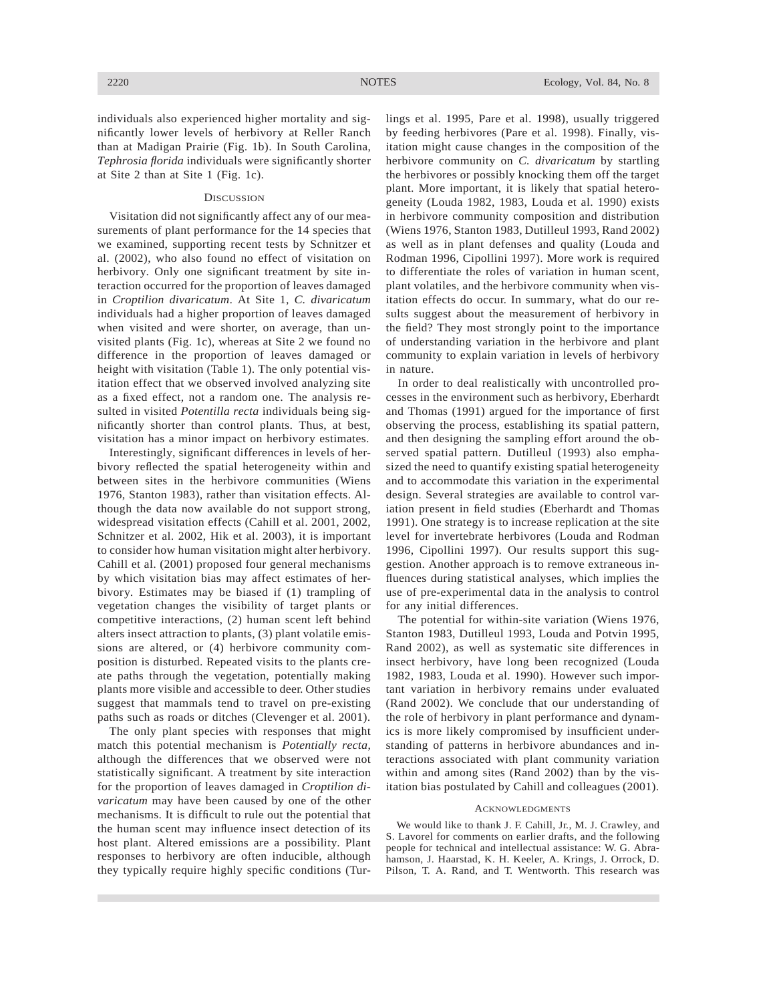individuals also experienced higher mortality and significantly lower levels of herbivory at Reller Ranch than at Madigan Prairie (Fig. 1b). In South Carolina, *Tephrosia florida* individuals were significantly shorter at Site 2 than at Site 1 (Fig. 1c).

# **DISCUSSION**

Visitation did not significantly affect any of our measurements of plant performance for the 14 species that we examined, supporting recent tests by Schnitzer et al. (2002), who also found no effect of visitation on herbivory. Only one significant treatment by site interaction occurred for the proportion of leaves damaged in *Croptilion divaricatum*. At Site 1, *C. divaricatum* individuals had a higher proportion of leaves damaged when visited and were shorter, on average, than unvisited plants (Fig. 1c), whereas at Site 2 we found no difference in the proportion of leaves damaged or height with visitation (Table 1). The only potential visitation effect that we observed involved analyzing site as a fixed effect, not a random one. The analysis resulted in visited *Potentilla recta* individuals being significantly shorter than control plants. Thus, at best, visitation has a minor impact on herbivory estimates.

Interestingly, significant differences in levels of herbivory reflected the spatial heterogeneity within and between sites in the herbivore communities (Wiens 1976, Stanton 1983), rather than visitation effects. Although the data now available do not support strong, widespread visitation effects (Cahill et al. 2001, 2002, Schnitzer et al. 2002, Hik et al. 2003), it is important to consider how human visitation might alter herbivory. Cahill et al. (2001) proposed four general mechanisms by which visitation bias may affect estimates of herbivory. Estimates may be biased if (1) trampling of vegetation changes the visibility of target plants or competitive interactions, (2) human scent left behind alters insect attraction to plants, (3) plant volatile emissions are altered, or (4) herbivore community composition is disturbed. Repeated visits to the plants create paths through the vegetation, potentially making plants more visible and accessible to deer. Other studies suggest that mammals tend to travel on pre-existing paths such as roads or ditches (Clevenger et al. 2001).

The only plant species with responses that might match this potential mechanism is *Potentially recta*, although the differences that we observed were not statistically significant. A treatment by site interaction for the proportion of leaves damaged in *Croptilion divaricatum* may have been caused by one of the other mechanisms. It is difficult to rule out the potential that the human scent may influence insect detection of its host plant. Altered emissions are a possibility. Plant responses to herbivory are often inducible, although they typically require highly specific conditions (Turlings et al. 1995, Pare et al. 1998), usually triggered by feeding herbivores (Pare et al. 1998). Finally, visitation might cause changes in the composition of the herbivore community on *C. divaricatum* by startling the herbivores or possibly knocking them off the target plant. More important, it is likely that spatial heterogeneity (Louda 1982, 1983, Louda et al. 1990) exists in herbivore community composition and distribution (Wiens 1976, Stanton 1983, Dutilleul 1993, Rand 2002) as well as in plant defenses and quality (Louda and Rodman 1996, Cipollini 1997). More work is required to differentiate the roles of variation in human scent, plant volatiles, and the herbivore community when visitation effects do occur. In summary, what do our results suggest about the measurement of herbivory in the field? They most strongly point to the importance of understanding variation in the herbivore and plant community to explain variation in levels of herbivory in nature.

In order to deal realistically with uncontrolled processes in the environment such as herbivory, Eberhardt and Thomas (1991) argued for the importance of first observing the process, establishing its spatial pattern, and then designing the sampling effort around the observed spatial pattern. Dutilleul (1993) also emphasized the need to quantify existing spatial heterogeneity and to accommodate this variation in the experimental design. Several strategies are available to control variation present in field studies (Eberhardt and Thomas 1991). One strategy is to increase replication at the site level for invertebrate herbivores (Louda and Rodman 1996, Cipollini 1997). Our results support this suggestion. Another approach is to remove extraneous influences during statistical analyses, which implies the use of pre-experimental data in the analysis to control for any initial differences.

The potential for within-site variation (Wiens 1976, Stanton 1983, Dutilleul 1993, Louda and Potvin 1995, Rand 2002), as well as systematic site differences in insect herbivory, have long been recognized (Louda 1982, 1983, Louda et al. 1990). However such important variation in herbivory remains under evaluated (Rand 2002). We conclude that our understanding of the role of herbivory in plant performance and dynamics is more likely compromised by insufficient understanding of patterns in herbivore abundances and interactions associated with plant community variation within and among sites (Rand 2002) than by the visitation bias postulated by Cahill and colleagues (2001).

#### **ACKNOWLEDGMENTS**

We would like to thank J. F. Cahill, Jr., M. J. Crawley, and S. Lavorel for comments on earlier drafts, and the following people for technical and intellectual assistance: W. G. Abrahamson, J. Haarstad, K. H. Keeler, A. Krings, J. Orrock, D. Pilson, T. A. Rand, and T. Wentworth. This research was